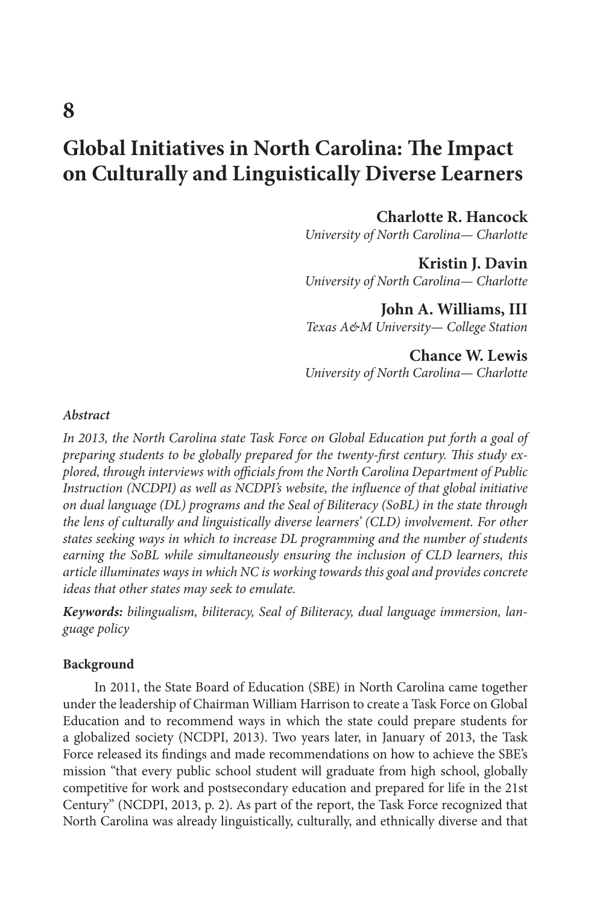# **Global Initiatives in North Carolina: The Impact on Culturally and Linguistically Diverse Learners**

**Charlotte R. Hancock**

*University of North Carolina— Charlotte*

**Kristin J. Davin** *University of North Carolina— Charlotte*

**John A. Williams, III** *Texas A&M University— College Station*

**Chance W. Lewis** *University of North Carolina— Charlotte*

#### *Abstract*

In 2013, the North Carolina state Task Force on Global Education put forth a goal of *preparing students to be globally prepared for the twenty-first century. This study explored, through interviews with officials from the North Carolina Department of Public Instruction (NCDPI) as well as NCDPI's website, the influence of that global initiative on dual language (DL) programs and the Seal of Biliteracy (SoBL) in the state through the lens of culturally and linguistically diverse learners' (CLD) involvement. For other states seeking ways in which to increase DL programming and the number of students earning the SoBL while simultaneously ensuring the inclusion of CLD learners, this article illuminates ways in which NC is working towards this goal and provides concrete ideas that other states may seek to emulate.* 

*Keywords: bilingualism, biliteracy, Seal of Biliteracy, dual language immersion, language policy*

#### **Background**

In 2011, the State Board of Education (SBE) in North Carolina came together under the leadership of Chairman William Harrison to create a Task Force on Global Education and to recommend ways in which the state could prepare students for a globalized society (NCDPI, 2013). Two years later, in January of 2013, the Task Force released its findings and made recommendations on how to achieve the SBE's mission "that every public school student will graduate from high school, globally competitive for work and postsecondary education and prepared for life in the 21st Century" (NCDPI, 2013, p. 2). As part of the report, the Task Force recognized that North Carolina was already linguistically, culturally, and ethnically diverse and that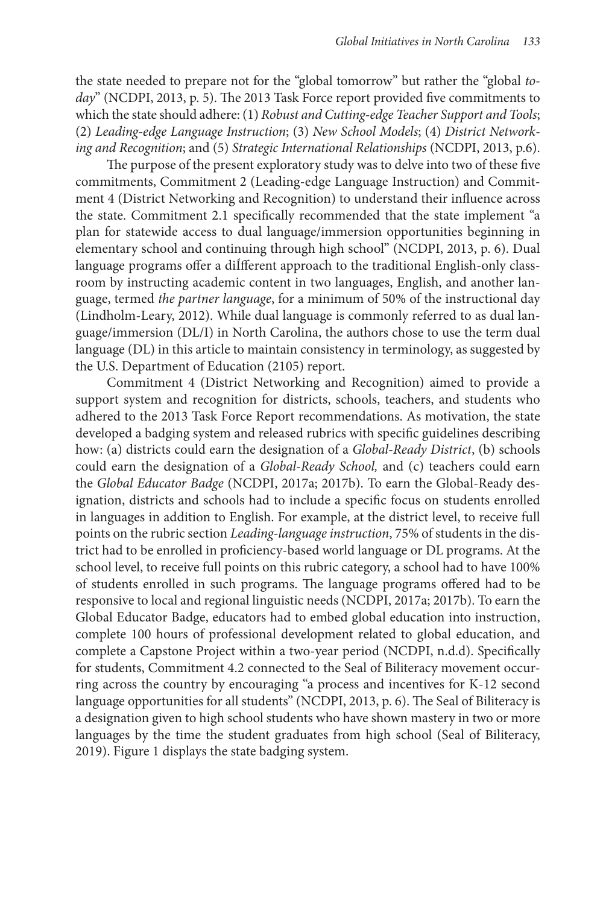the state needed to prepare not for the "global tomorrow" but rather the "global *today*" (NCDPI, 2013, p. 5). The 2013 Task Force report provided five commitments to which the state should adhere: (1) *Robust and Cutting-edge Teacher Support and Tools*; (2) *Leading-edge Language Instruction*; (3) *New School Models*; (4) *District Networking and Recognition*; and (5) *Strategic International Relationships* (NCDPI, 2013, p.6).

The purpose of the present exploratory study was to delve into two of these five commitments, Commitment 2 (Leading-edge Language Instruction) and Commitment 4 (District Networking and Recognition) to understand their influence across the state. Commitment 2.1 specifically recommended that the state implement "a plan for statewide access to dual language/immersion opportunities beginning in elementary school and continuing through high school" (NCDPI, 2013, p. 6). Dual language programs offer a diÍfferent approach to the traditional English-only classroom by instructing academic content in two languages, English, and another language, termed *the partner language*, for a minimum of 50% of the instructional day (Lindholm-Leary, 2012). While dual language is commonly referred to as dual language/immersion (DL/I) in North Carolina, the authors chose to use the term dual language (DL) in this article to maintain consistency in terminology, as suggested by the U.S. Department of Education (2105) report.

Commitment 4 (District Networking and Recognition) aimed to provide a support system and recognition for districts, schools, teachers, and students who adhered to the 2013 Task Force Report recommendations. As motivation, the state developed a badging system and released rubrics with specific guidelines describing how: (a) districts could earn the designation of a *Global-Ready District*, (b) schools could earn the designation of a *Global-Ready School,* and (c) teachers could earn the *Global Educator Badge* (NCDPI, 2017a; 2017b). To earn the Global-Ready designation, districts and schools had to include a specific focus on students enrolled in languages in addition to English. For example, at the district level, to receive full points on the rubric section *Leading-language instruction*, 75% of students in the district had to be enrolled in proficiency-based world language or DL programs. At the school level, to receive full points on this rubric category, a school had to have 100% of students enrolled in such programs. The language programs offered had to be responsive to local and regional linguistic needs (NCDPI, 2017a; 2017b). To earn the Global Educator Badge, educators had to embed global education into instruction, complete 100 hours of professional development related to global education, and complete a Capstone Project within a two-year period (NCDPI, n.d.d). Specifically for students, Commitment 4.2 connected to the Seal of Biliteracy movement occurring across the country by encouraging "a process and incentives for K-12 second language opportunities for all students" (NCDPI, 2013, p. 6). The Seal of Biliteracy is a designation given to high school students who have shown mastery in two or more languages by the time the student graduates from high school (Seal of Biliteracy, 2019). Figure 1 displays the state badging system.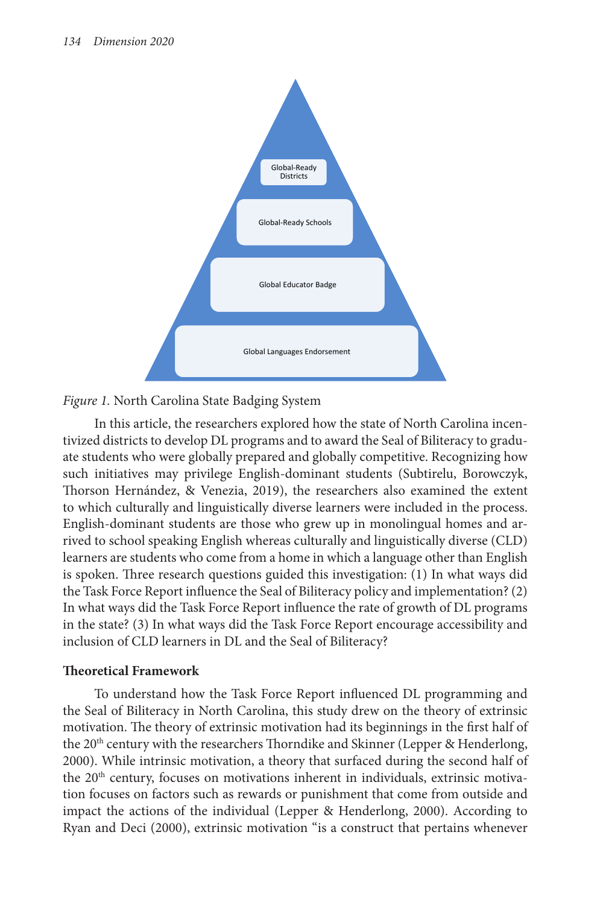



In this article, the researchers explored how the state of North Carolina incentivized districts to develop DL programs and to award the Seal of Biliteracy to graduate students who were globally prepared and globally competitive. Recognizing how such initiatives may privilege English-dominant students (Subtirelu, Borowczyk, Thorson Hernández, & Venezia, 2019), the researchers also examined the extent to which culturally and linguistically diverse learners were included in the process. English-dominant students are those who grew up in monolingual homes and arrived to school speaking English whereas culturally and linguistically diverse (CLD) learners are students who come from a home in which a language other than English is spoken. Three research questions guided this investigation: (1) In what ways did the Task Force Report influence the Seal of Biliteracy policy and implementation? (2) In what ways did the Task Force Report influence the rate of growth of DL programs in the state? (3) In what ways did the Task Force Report encourage accessibility and inclusion of CLD learners in DL and the Seal of Biliteracy?

# **Theoretical Framework**

To understand how the Task Force Report influenced DL programming and the Seal of Biliteracy in North Carolina, this study drew on the theory of extrinsic motivation. The theory of extrinsic motivation had its beginnings in the first half of the 20<sup>th</sup> century with the researchers Thorndike and Skinner (Lepper & Henderlong, 2000). While intrinsic motivation, a theory that surfaced during the second half of the  $20<sup>th</sup>$  century, focuses on motivations inherent in individuals, extrinsic motivation focuses on factors such as rewards or punishment that come from outside and impact the actions of the individual (Lepper & Henderlong, 2000). According to Ryan and Deci (2000), extrinsic motivation "is a construct that pertains whenever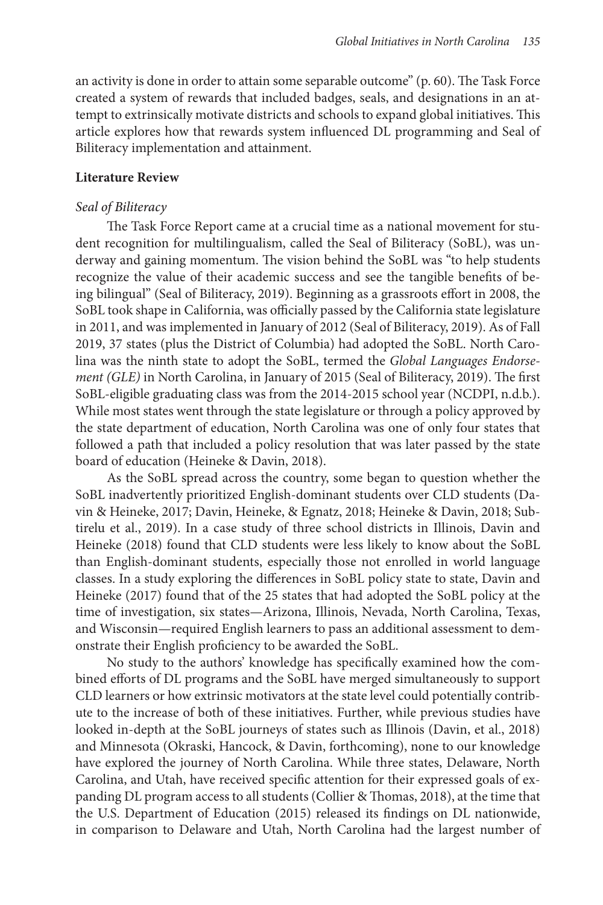an activity is done in order to attain some separable outcome" (p. 60). The Task Force created a system of rewards that included badges, seals, and designations in an attempt to extrinsically motivate districts and schools to expand global initiatives. This article explores how that rewards system influenced DL programming and Seal of Biliteracy implementation and attainment.

# **Literature Review**

#### *Seal of Biliteracy*

The Task Force Report came at a crucial time as a national movement for student recognition for multilingualism, called the Seal of Biliteracy (SoBL), was underway and gaining momentum. The vision behind the SoBL was "to help students recognize the value of their academic success and see the tangible benefits of being bilingual" (Seal of Biliteracy, 2019). Beginning as a grassroots effort in 2008, the SoBL took shape in California, was officially passed by the California state legislature in 2011, and was implemented in January of 2012 (Seal of Biliteracy, 2019). As of Fall 2019, 37 states (plus the District of Columbia) had adopted the SoBL. North Carolina was the ninth state to adopt the SoBL, termed the *Global Languages Endorsement (GLE)* in North Carolina, in January of 2015 (Seal of Biliteracy, 2019). The first SoBL-eligible graduating class was from the 2014-2015 school year (NCDPI, n.d.b.). While most states went through the state legislature or through a policy approved by the state department of education, North Carolina was one of only four states that followed a path that included a policy resolution that was later passed by the state board of education (Heineke & Davin, 2018).

As the SoBL spread across the country, some began to question whether the SoBL inadvertently prioritized English-dominant students over CLD students (Davin & Heineke, 2017; Davin, Heineke, & Egnatz, 2018; Heineke & Davin, 2018; Subtirelu et al., 2019). In a case study of three school districts in Illinois, Davin and Heineke (2018) found that CLD students were less likely to know about the SoBL than English-dominant students, especially those not enrolled in world language classes. In a study exploring the differences in SoBL policy state to state, Davin and Heineke (2017) found that of the 25 states that had adopted the SoBL policy at the time of investigation, six states—Arizona, Illinois, Nevada, North Carolina, Texas, and Wisconsin—required English learners to pass an additional assessment to demonstrate their English proficiency to be awarded the SoBL.

No study to the authors' knowledge has specifically examined how the combined efforts of DL programs and the SoBL have merged simultaneously to support CLD learners or how extrinsic motivators at the state level could potentially contribute to the increase of both of these initiatives. Further, while previous studies have looked in-depth at the SoBL journeys of states such as Illinois (Davin, et al., 2018) and Minnesota (Okraski, Hancock, & Davin, forthcoming), none to our knowledge have explored the journey of North Carolina. While three states, Delaware, North Carolina, and Utah, have received specific attention for their expressed goals of expanding DL program access to all students (Collier & Thomas, 2018), at the time that the U.S. Department of Education (2015) released its findings on DL nationwide, in comparison to Delaware and Utah, North Carolina had the largest number of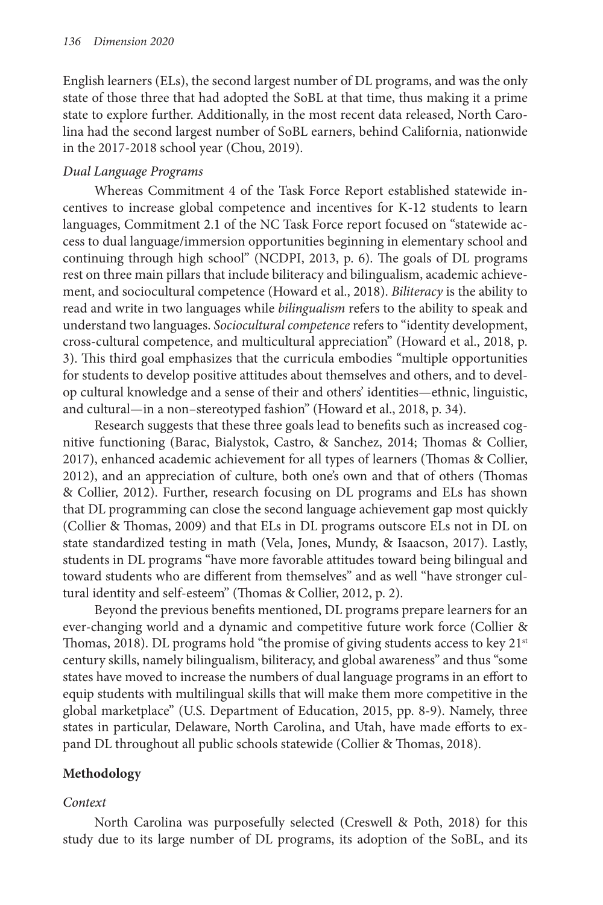English learners (ELs), the second largest number of DL programs, and was the only state of those three that had adopted the SoBL at that time, thus making it a prime state to explore further. Additionally, in the most recent data released, North Carolina had the second largest number of SoBL earners, behind California, nationwide in the 2017-2018 school year (Chou, 2019).

# *Dual Language Programs*

Whereas Commitment 4 of the Task Force Report established statewide incentives to increase global competence and incentives for K-12 students to learn languages, Commitment 2.1 of the NC Task Force report focused on "statewide access to dual language/immersion opportunities beginning in elementary school and continuing through high school" (NCDPI, 2013, p. 6). The goals of DL programs rest on three main pillars that include biliteracy and bilingualism, academic achievement, and sociocultural competence (Howard et al., 2018). *Biliteracy* is the ability to read and write in two languages while *bilingualism* refers to the ability to speak and understand two languages. *Sociocultural competence* refers to "identity development, cross-cultural competence, and multicultural appreciation" (Howard et al., 2018, p. 3). This third goal emphasizes that the curricula embodies "multiple opportunities for students to develop positive attitudes about themselves and others, and to develop cultural knowledge and a sense of their and others' identities—ethnic, linguistic, and cultural—in a non–stereotyped fashion" (Howard et al., 2018, p. 34).

Research suggests that these three goals lead to benefits such as increased cognitive functioning (Barac, Bialystok, Castro, & Sanchez, 2014; Thomas & Collier, 2017), enhanced academic achievement for all types of learners (Thomas & Collier, 2012), and an appreciation of culture, both one's own and that of others (Thomas & Collier, 2012). Further, research focusing on DL programs and ELs has shown that DL programming can close the second language achievement gap most quickly (Collier & Thomas, 2009) and that ELs in DL programs outscore ELs not in DL on state standardized testing in math (Vela, Jones, Mundy, & Isaacson, 2017). Lastly, students in DL programs "have more favorable attitudes toward being bilingual and toward students who are different from themselves" and as well "have stronger cultural identity and self-esteem" (Thomas & Collier, 2012, p. 2).

Beyond the previous benefits mentioned, DL programs prepare learners for an ever-changing world and a dynamic and competitive future work force (Collier & Thomas, 2018). DL programs hold "the promise of giving students access to key 21<sup>st</sup> century skills, namely bilingualism, biliteracy, and global awareness" and thus "some states have moved to increase the numbers of dual language programs in an effort to equip students with multilingual skills that will make them more competitive in the global marketplace" (U.S. Department of Education, 2015, pp. 8-9). Namely, three states in particular, Delaware, North Carolina, and Utah, have made efforts to expand DL throughout all public schools statewide (Collier & Thomas, 2018).

# **Methodology**

# *Context*

North Carolina was purposefully selected (Creswell & Poth, 2018) for this study due to its large number of DL programs, its adoption of the SoBL, and its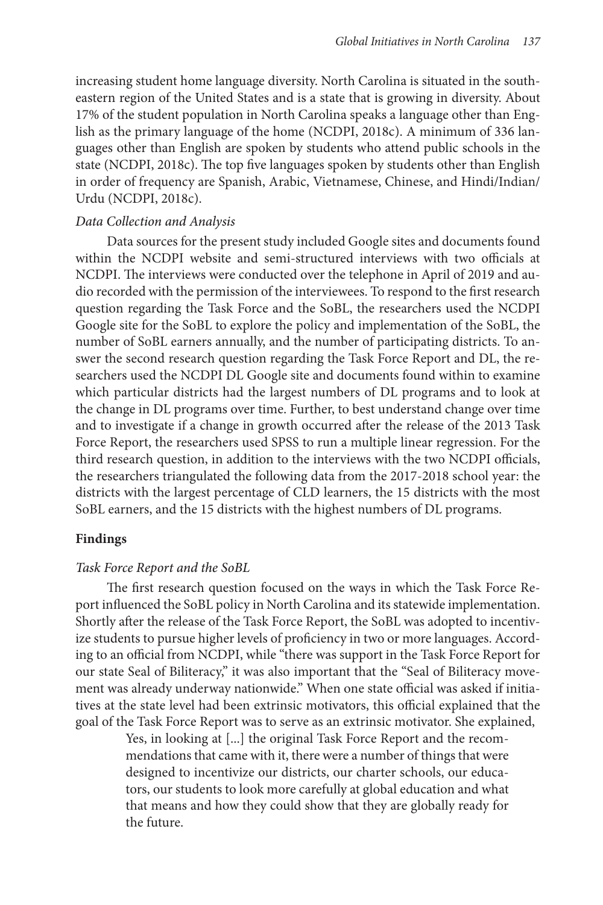increasing student home language diversity. North Carolina is situated in the southeastern region of the United States and is a state that is growing in diversity. About 17% of the student population in North Carolina speaks a language other than English as the primary language of the home (NCDPI, 2018c). A minimum of 336 languages other than English are spoken by students who attend public schools in the state (NCDPI, 2018c). The top five languages spoken by students other than English in order of frequency are Spanish, Arabic, Vietnamese, Chinese, and Hindi/Indian/ Urdu (NCDPI, 2018c).

## *Data Collection and Analysis*

Data sources for the present study included Google sites and documents found within the NCDPI website and semi-structured interviews with two officials at NCDPI. The interviews were conducted over the telephone in April of 2019 and audio recorded with the permission of the interviewees. To respond to the first research question regarding the Task Force and the SoBL, the researchers used the NCDPI Google site for the SoBL to explore the policy and implementation of the SoBL, the number of SoBL earners annually, and the number of participating districts. To answer the second research question regarding the Task Force Report and DL, the researchers used the NCDPI DL Google site and documents found within to examine which particular districts had the largest numbers of DL programs and to look at the change in DL programs over time. Further, to best understand change over time and to investigate if a change in growth occurred after the release of the 2013 Task Force Report, the researchers used SPSS to run a multiple linear regression. For the third research question, in addition to the interviews with the two NCDPI officials, the researchers triangulated the following data from the 2017-2018 school year: the districts with the largest percentage of CLD learners, the 15 districts with the most SoBL earners, and the 15 districts with the highest numbers of DL programs.

# **Findings**

#### *Task Force Report and the SoBL*

The first research question focused on the ways in which the Task Force Report influenced the SoBL policy in North Carolina and its statewide implementation. Shortly after the release of the Task Force Report, the SoBL was adopted to incentivize students to pursue higher levels of proficiency in two or more languages. According to an official from NCDPI, while "there was support in the Task Force Report for our state Seal of Biliteracy," it was also important that the "Seal of Biliteracy movement was already underway nationwide." When one state official was asked if initiatives at the state level had been extrinsic motivators, this official explained that the goal of the Task Force Report was to serve as an extrinsic motivator. She explained,

> Yes, in looking at [...] the original Task Force Report and the recommendations that came with it, there were a number of things that were designed to incentivize our districts, our charter schools, our educators, our students to look more carefully at global education and what that means and how they could show that they are globally ready for the future.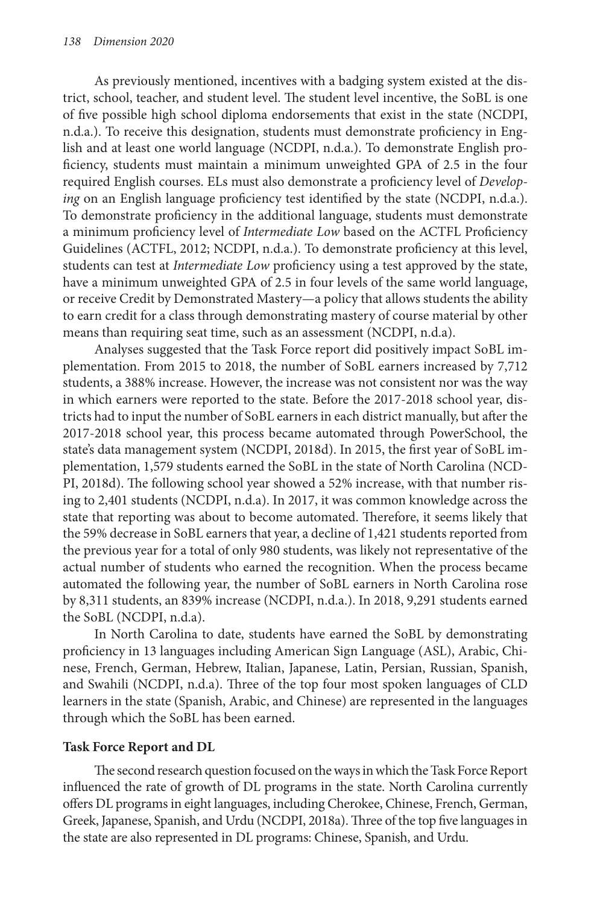As previously mentioned, incentives with a badging system existed at the district, school, teacher, and student level. The student level incentive, the SoBL is one of five possible high school diploma endorsements that exist in the state (NCDPI, n.d.a.). To receive this designation, students must demonstrate proficiency in English and at least one world language (NCDPI, n.d.a.). To demonstrate English proficiency, students must maintain a minimum unweighted GPA of 2.5 in the four required English courses. ELs must also demonstrate a proficiency level of *Developing* on an English language proficiency test identified by the state (NCDPI, n.d.a.). To demonstrate proficiency in the additional language, students must demonstrate a minimum proficiency level of *Intermediate Low* based on the ACTFL Proficiency Guidelines (ACTFL, 2012; NCDPI, n.d.a.). To demonstrate proficiency at this level, students can test at *Intermediate Low* proficiency using a test approved by the state, have a minimum unweighted GPA of 2.5 in four levels of the same world language, or receive Credit by Demonstrated Mastery—a policy that allows students the ability to earn credit for a class through demonstrating mastery of course material by other means than requiring seat time, such as an assessment (NCDPI, n.d.a).

Analyses suggested that the Task Force report did positively impact SoBL implementation. From 2015 to 2018, the number of SoBL earners increased by 7,712 students, a 388% increase. However, the increase was not consistent nor was the way in which earners were reported to the state. Before the 2017-2018 school year, districts had to input the number of SoBL earners in each district manually, but after the 2017-2018 school year, this process became automated through PowerSchool, the state's data management system (NCDPI, 2018d). In 2015, the first year of SoBL implementation, 1,579 students earned the SoBL in the state of North Carolina (NCD-PI, 2018d). The following school year showed a 52% increase, with that number rising to 2,401 students (NCDPI, n.d.a). In 2017, it was common knowledge across the state that reporting was about to become automated. Therefore, it seems likely that the 59% decrease in SoBL earners that year, a decline of 1,421 students reported from the previous year for a total of only 980 students, was likely not representative of the actual number of students who earned the recognition. When the process became automated the following year, the number of SoBL earners in North Carolina rose by 8,311 students, an 839% increase (NCDPI, n.d.a.). In 2018, 9,291 students earned the SoBL (NCDPI, n.d.a).

In North Carolina to date, students have earned the SoBL by demonstrating proficiency in 13 languages including American Sign Language (ASL), Arabic, Chinese, French, German, Hebrew, Italian, Japanese, Latin, Persian, Russian, Spanish, and Swahili (NCDPI, n.d.a). Three of the top four most spoken languages of CLD learners in the state (Spanish, Arabic, and Chinese) are represented in the languages through which the SoBL has been earned.

# **Task Force Report and DL**

The second research question focused on the ways in which the Task Force Report influenced the rate of growth of DL programs in the state. North Carolina currently offers DL programs in eight languages, including Cherokee, Chinese, French, German, Greek, Japanese, Spanish, and Urdu (NCDPI, 2018a). Three of the top five languages in the state are also represented in DL programs: Chinese, Spanish, and Urdu.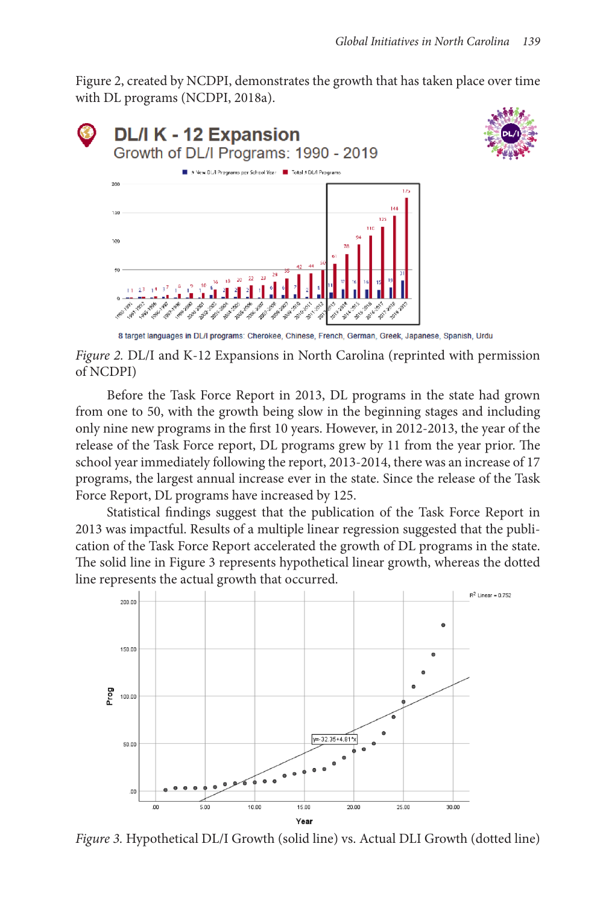Figure 2, created by NCDPI, demonstrates the growth that has taken place over time with DL programs (NCDPI, 2018a).



*Figure 2.* DL/I and K-12 Expansions in North Carolina (reprinted with permission of NCDPI)

Before the Task Force Report in 2013, DL programs in the state had grown from one to 50, with the growth being slow in the beginning stages and including only nine new programs in the first 10 years. However, in 2012-2013, the year of the release of the Task Force report, DL programs grew by 11 from the year prior. The school year immediately following the report, 2013-2014, there was an increase of 17 programs, the largest annual increase ever in the state. Since the release of the Task Force Report, DL programs have increased by 125.

Statistical findings suggest that the publication of the Task Force Report in 2013 was impactful. Results of a multiple linear regression suggested that the publication of the Task Force Report accelerated the growth of DL programs in the state. The solid line in Figure 3 represents hypothetical linear growth, whereas the dotted line represents the actual growth that occurred.



*Figure 3.* Hypothetical DL/I Growth (solid line) vs. Actual DLI Growth (dotted line)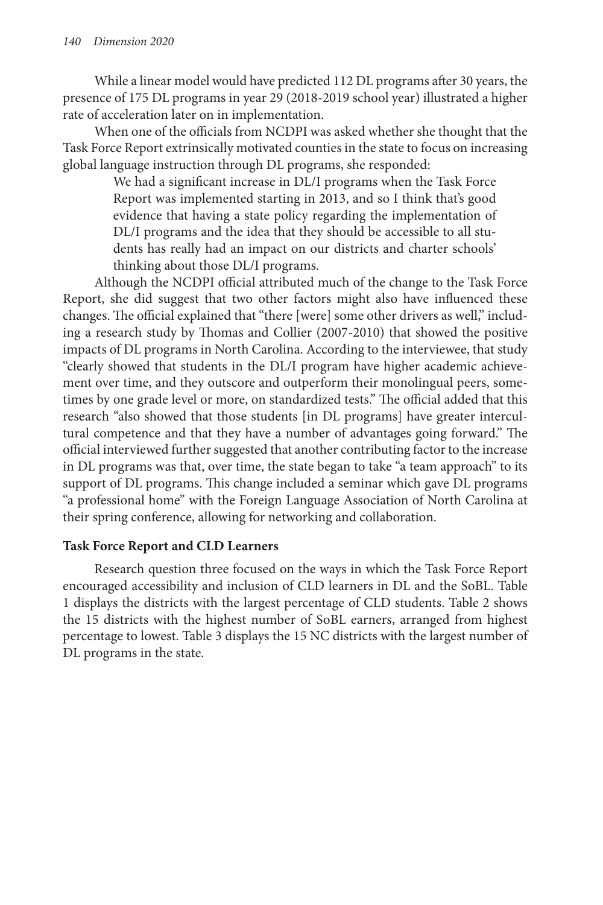While a linear model would have predicted 112 DL programs after 30 years, the presence of 175 DL programs in year 29 (2018-2019 school year) illustrated a higher rate of acceleration later on in implementation.

When one of the officials from NCDPI was asked whether she thought that the Task Force Report extrinsically motivated counties in the state to focus on increasing global language instruction through DL programs, she responded:

> We had a significant increase in DL/I programs when the Task Force Report was implemented starting in 2013, and so I think that's good evidence that having a state policy regarding the implementation of DL/I programs and the idea that they should be accessible to all students has really had an impact on our districts and charter schools' thinking about those DL/I programs.

Although the NCDPI official attributed much of the change to the Task Force Report, she did suggest that two other factors might also have influenced these changes. The official explained that "there [were] some other drivers as well," including a research study by Thomas and Collier (2007-2010) that showed the positive impacts of DL programs in North Carolina. According to the interviewee, that study "clearly showed that students in the DL/I program have higher academic achievement over time, and they outscore and outperform their monolingual peers, sometimes by one grade level or more, on standardized tests." The official added that this research "also showed that those students [in DL programs] have greater intercultural competence and that they have a number of advantages going forward." The official interviewed further suggested that another contributing factor to the increase in DL programs was that, over time, the state began to take "a team approach" to its support of DL programs. This change included a seminar which gave DL programs "a professional home" with the Foreign Language Association of North Carolina at their spring conference, allowing for networking and collaboration.

# **Task Force Report and CLD Learners**

Research question three focused on the ways in which the Task Force Report encouraged accessibility and inclusion of CLD learners in DL and the SoBL. Table 1 displays the districts with the largest percentage of CLD students. Table 2 shows the 15 districts with the highest number of SoBL earners, arranged from highest percentage to lowest. Table 3 displays the 15 NC districts with the largest number of DL programs in the state.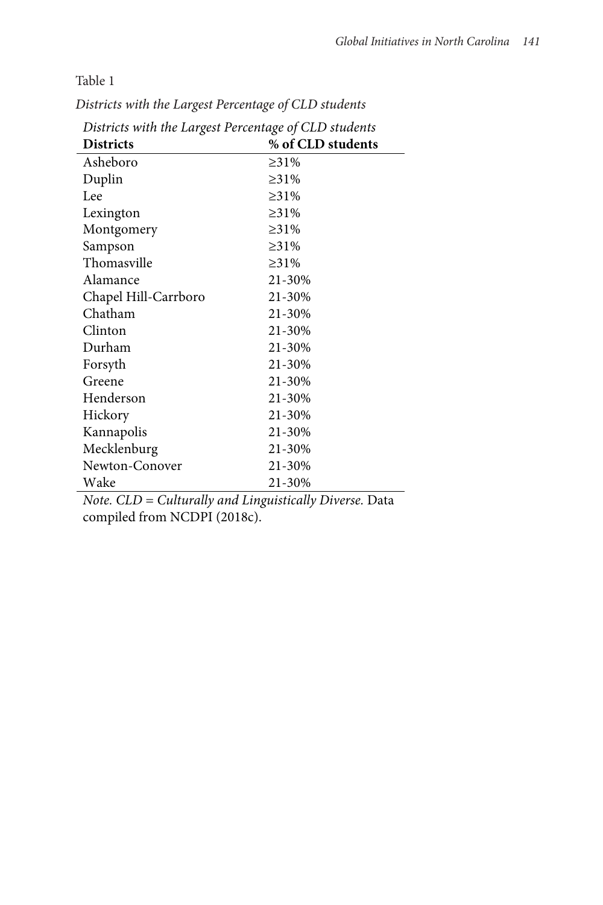Table 1

*Districts with the Largest Percentage of CLD students* Table 1

| Districts with the Largest I creeninge of CLD standing |                   |  |  |
|--------------------------------------------------------|-------------------|--|--|
| <b>Districts</b>                                       | % of CLD students |  |  |
| Asheboro                                               | $\geq 31\%$       |  |  |
| Duplin                                                 | $\geq 31\%$       |  |  |
| Lee                                                    | $\geq 31\%$       |  |  |
| Lexington                                              | $\geq 31\%$       |  |  |
| Montgomery                                             | $\geq 31\%$       |  |  |
| Sampson                                                | $\geq 31\%$       |  |  |
| Thomasville                                            | $\geq 31\%$       |  |  |
| Alamance                                               | 21-30%            |  |  |
| Chapel Hill-Carrboro                                   | 21-30%            |  |  |
| Chatham                                                | 21-30%            |  |  |
| Clinton                                                | 21-30%            |  |  |
| Durham                                                 | 21-30%            |  |  |
| Forsyth                                                | 21-30%            |  |  |
| Greene                                                 | 21-30%            |  |  |
| Henderson                                              | 21-30%            |  |  |
| Hickory                                                | 21-30%            |  |  |
| Kannapolis                                             | 21-30%            |  |  |
| Mecklenburg                                            | 21-30%            |  |  |
| Newton-Conover                                         | 21-30%            |  |  |
| Wake                                                   | 21-30%            |  |  |
|                                                        |                   |  |  |

*Districts with the Largest Percentage of CLD students*

*Note. CLD = Culturally and Linguistically Diverse.* Data compiled from NCDPI (2018c).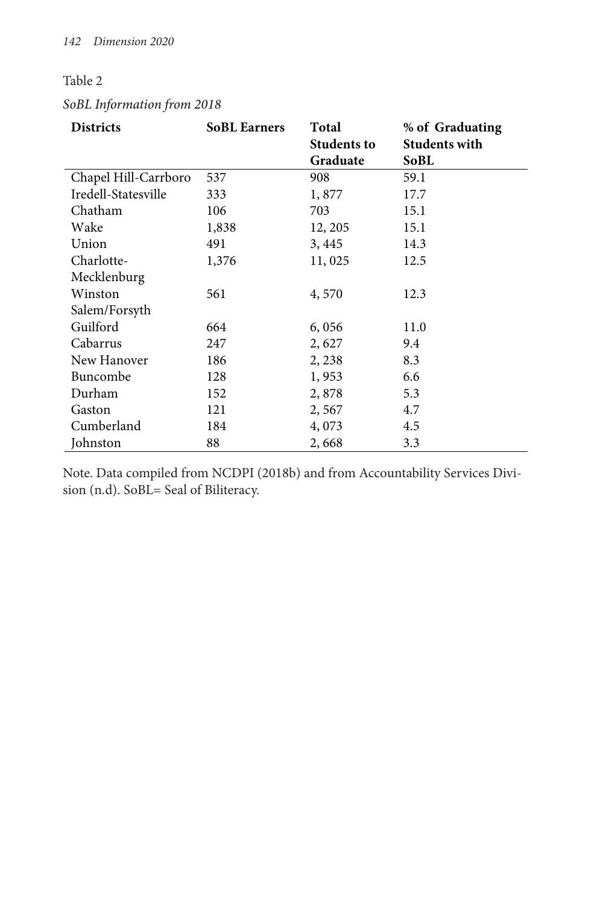# Table 2

# *SoBL Information from 2018* Table 2 *SoBL Information from 2018*

| <b>Districts</b>     | <b>SoBL Earners</b> | Total                          | % of Graduating              |
|----------------------|---------------------|--------------------------------|------------------------------|
|                      |                     | <b>Students to</b><br>Graduate | <b>Students with</b><br>SoBL |
| Chapel Hill-Carrboro | 537                 | 908                            | 59.1                         |
| Iredell-Statesville  | 333                 | 1,877                          | 17.7                         |
| Chatham              | 106                 | 703                            | 15.1                         |
| Wake                 | 1,838               | 12, 205                        | 15.1                         |
| Union                | 491                 | 3, 445                         | 14.3                         |
| Charlotte-           | 1,376               | 11,025                         | 12.5                         |
| Mecklenburg          |                     |                                |                              |
| Winston              | 561                 | 4,570                          | 12.3                         |
| Salem/Forsyth        |                     |                                |                              |
| Guilford             | 664                 | 6,056                          | 11.0                         |
| Cabarrus             | 247                 | 2,627                          | 9.4                          |
| New Hanover          | 186                 | 2, 238                         | 8.3                          |
| Buncombe             | 128                 | 1,953                          | 6.6                          |
| Durham               | 152                 | 2,878                          | 5.3                          |
| Gaston               | 121                 | 2,567                          | 4.7                          |
| Cumberland           | 184                 | 4,073                          | 4.5                          |
| Johnston             | 88                  | 2,668                          | 3.3                          |

Note. Data compiled from NCDPI (2018b) and from Accountability Services Division (n.d). SoBL= Seal of Biliteracy.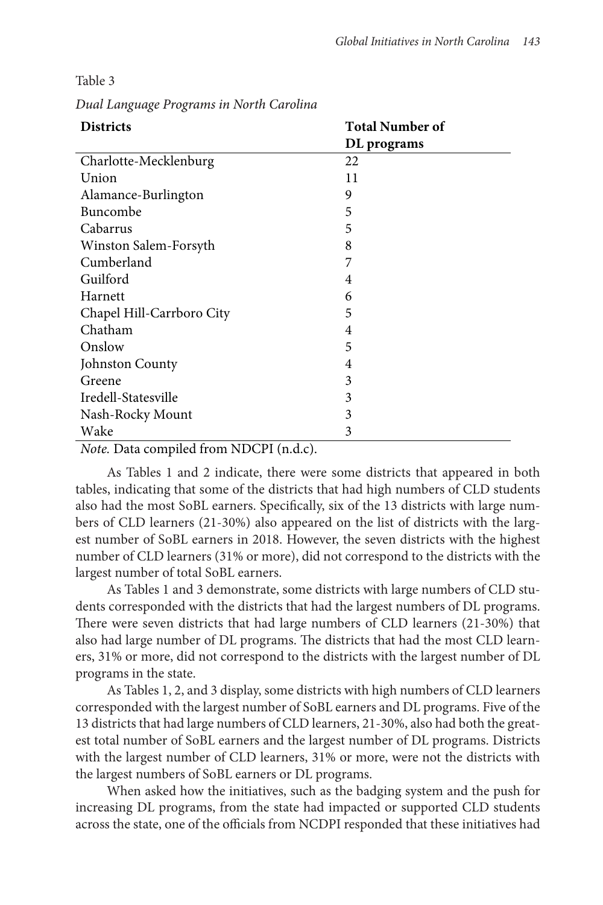| <b>Districts</b>          | <b>Total Number of</b> |
|---------------------------|------------------------|
|                           | DL programs            |
| Charlotte-Mecklenburg     | 22                     |
| Union                     | 11                     |
| Alamance-Burlington       | 9                      |
| Buncombe                  | 5                      |
| Cabarrus                  | 5                      |
| Winston Salem-Forsyth     | 8                      |
| Cumberland                | 7                      |
| Guilford                  | 4                      |
| Harnett                   | 6                      |
| Chapel Hill-Carrboro City | 5                      |
| Chatham                   | 4                      |
| Onslow                    | 5                      |
| Johnston County           | 4                      |
| Greene                    | 3                      |
| Iredell-Statesville       | 3                      |
| Nash-Rocky Mount          | 3                      |
| Wake                      | 3                      |
|                           |                        |

Table 3

*Dual Language Programs in North Carolina* Table 3 *Dual Language Programs in North Carolina*

*Note.* Data compiled from NDCPI (n.d.c).

As Tables 1 and 2 indicate, there were some districts that appeared in both tables, indicating that some of the districts that had high numbers of CLD students also had the most SoBL earners. Specifically, six of the 13 districts with large numbers of CLD learners (21-30%) also appeared on the list of districts with the largest number of SoBL earners in 2018. However, the seven districts with the highest number of CLD learners (31% or more), did not correspond to the districts with the largest number of total SoBL earners.

As Tables 1 and 3 demonstrate, some districts with large numbers of CLD students corresponded with the districts that had the largest numbers of DL programs. There were seven districts that had large numbers of CLD learners (21-30%) that also had large number of DL programs. The districts that had the most CLD learners, 31% or more, did not correspond to the districts with the largest number of DL programs in the state.

As Tables 1, 2, and 3 display, some districts with high numbers of CLD learners corresponded with the largest number of SoBL earners and DL programs. Five of the 13 districts that had large numbers of CLD learners, 21-30%, also had both the greatest total number of SoBL earners and the largest number of DL programs. Districts with the largest number of CLD learners, 31% or more, were not the districts with the largest numbers of SoBL earners or DL programs.

When asked how the initiatives, such as the badging system and the push for increasing DL programs, from the state had impacted or supported CLD students across the state, one of the officials from NCDPI responded that these initiatives had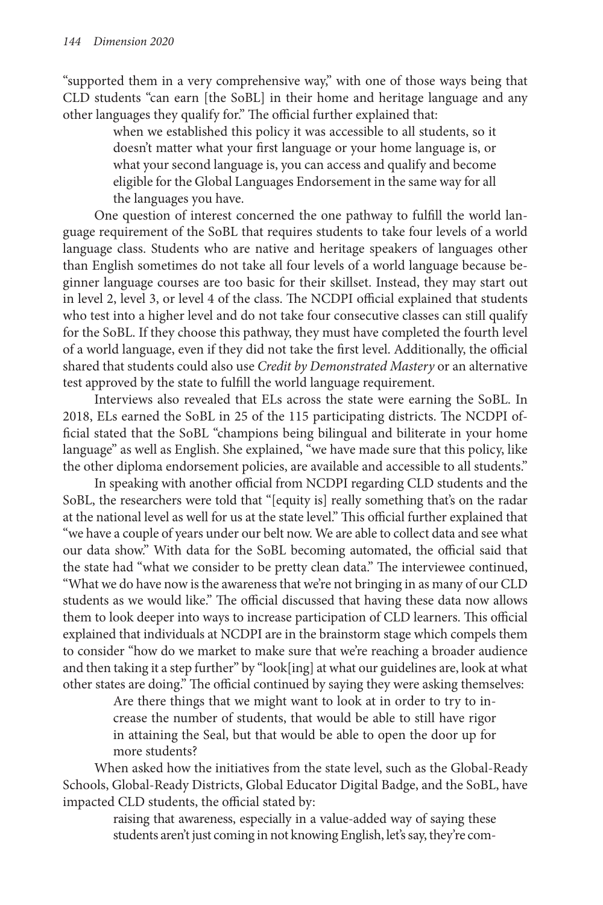"supported them in a very comprehensive way," with one of those ways being that CLD students "can earn [the SoBL] in their home and heritage language and any other languages they qualify for." The official further explained that:

> when we established this policy it was accessible to all students, so it doesn't matter what your first language or your home language is, or what your second language is, you can access and qualify and become eligible for the Global Languages Endorsement in the same way for all the languages you have.

One question of interest concerned the one pathway to fulfill the world language requirement of the SoBL that requires students to take four levels of a world language class. Students who are native and heritage speakers of languages other than English sometimes do not take all four levels of a world language because beginner language courses are too basic for their skillset. Instead, they may start out in level 2, level 3, or level 4 of the class. The NCDPI official explained that students who test into a higher level and do not take four consecutive classes can still qualify for the SoBL. If they choose this pathway, they must have completed the fourth level of a world language, even if they did not take the first level. Additionally, the official shared that students could also use *Credit by Demonstrated Mastery* or an alternative test approved by the state to fulfill the world language requirement.

Interviews also revealed that ELs across the state were earning the SoBL. In 2018, ELs earned the SoBL in 25 of the 115 participating districts. The NCDPI official stated that the SoBL "champions being bilingual and biliterate in your home language" as well as English. She explained, "we have made sure that this policy, like the other diploma endorsement policies, are available and accessible to all students."

In speaking with another official from NCDPI regarding CLD students and the SoBL, the researchers were told that "[equity is] really something that's on the radar at the national level as well for us at the state level." This official further explained that "we have a couple of years under our belt now. We are able to collect data and see what our data show." With data for the SoBL becoming automated, the official said that the state had "what we consider to be pretty clean data." The interviewee continued, "What we do have now is the awareness that we're not bringing in as many of our CLD students as we would like." The official discussed that having these data now allows them to look deeper into ways to increase participation of CLD learners. This official explained that individuals at NCDPI are in the brainstorm stage which compels them to consider "how do we market to make sure that we're reaching a broader audience and then taking it a step further" by "look[ing] at what our guidelines are, look at what other states are doing." The official continued by saying they were asking themselves:

> Are there things that we might want to look at in order to try to increase the number of students, that would be able to still have rigor in attaining the Seal, but that would be able to open the door up for more students?

When asked how the initiatives from the state level, such as the Global-Ready Schools, Global-Ready Districts, Global Educator Digital Badge, and the SoBL, have impacted CLD students, the official stated by:

> raising that awareness, especially in a value-added way of saying these students aren't just coming in not knowing English, let's say, they're com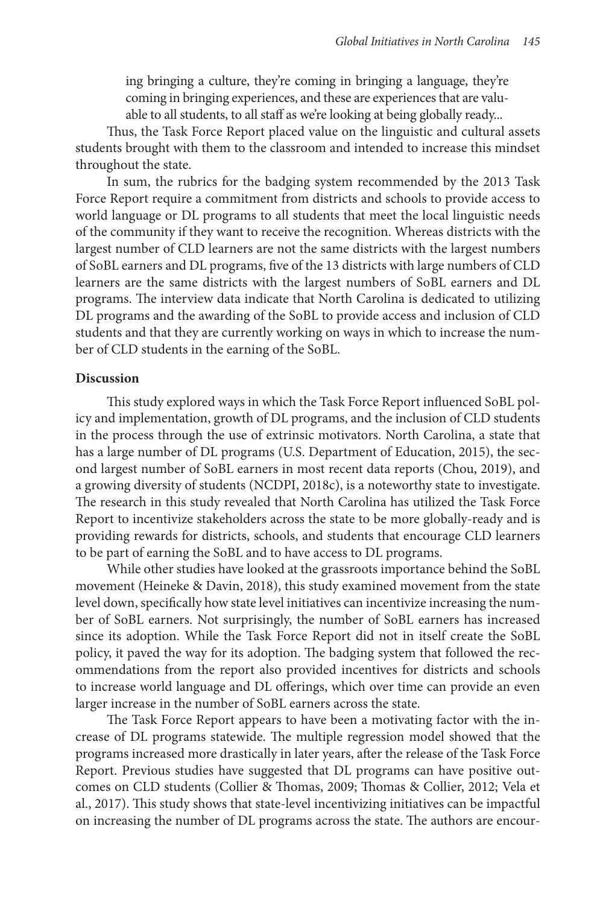ing bringing a culture, they're coming in bringing a language, they're coming in bringing experiences, and these are experiences that are valuable to all students, to all staff as we're looking at being globally ready...

Thus, the Task Force Report placed value on the linguistic and cultural assets students brought with them to the classroom and intended to increase this mindset throughout the state.

In sum, the rubrics for the badging system recommended by the 2013 Task Force Report require a commitment from districts and schools to provide access to world language or DL programs to all students that meet the local linguistic needs of the community if they want to receive the recognition. Whereas districts with the largest number of CLD learners are not the same districts with the largest numbers of SoBL earners and DL programs, five of the 13 districts with large numbers of CLD learners are the same districts with the largest numbers of SoBL earners and DL programs. The interview data indicate that North Carolina is dedicated to utilizing DL programs and the awarding of the SoBL to provide access and inclusion of CLD students and that they are currently working on ways in which to increase the number of CLD students in the earning of the SoBL.

#### **Discussion**

This study explored ways in which the Task Force Report influenced SoBL policy and implementation, growth of DL programs, and the inclusion of CLD students in the process through the use of extrinsic motivators. North Carolina, a state that has a large number of DL programs (U.S. Department of Education, 2015), the second largest number of SoBL earners in most recent data reports (Chou, 2019), and a growing diversity of students (NCDPI, 2018c), is a noteworthy state to investigate. The research in this study revealed that North Carolina has utilized the Task Force Report to incentivize stakeholders across the state to be more globally-ready and is providing rewards for districts, schools, and students that encourage CLD learners to be part of earning the SoBL and to have access to DL programs.

While other studies have looked at the grassroots importance behind the SoBL movement (Heineke & Davin, 2018), this study examined movement from the state level down, specifically how state level initiatives can incentivize increasing the number of SoBL earners. Not surprisingly, the number of SoBL earners has increased since its adoption. While the Task Force Report did not in itself create the SoBL policy, it paved the way for its adoption. The badging system that followed the recommendations from the report also provided incentives for districts and schools to increase world language and DL offerings, which over time can provide an even larger increase in the number of SoBL earners across the state.

The Task Force Report appears to have been a motivating factor with the increase of DL programs statewide. The multiple regression model showed that the programs increased more drastically in later years, after the release of the Task Force Report. Previous studies have suggested that DL programs can have positive outcomes on CLD students (Collier & Thomas, 2009; Thomas & Collier, 2012; Vela et al., 2017). This study shows that state-level incentivizing initiatives can be impactful on increasing the number of DL programs across the state. The authors are encour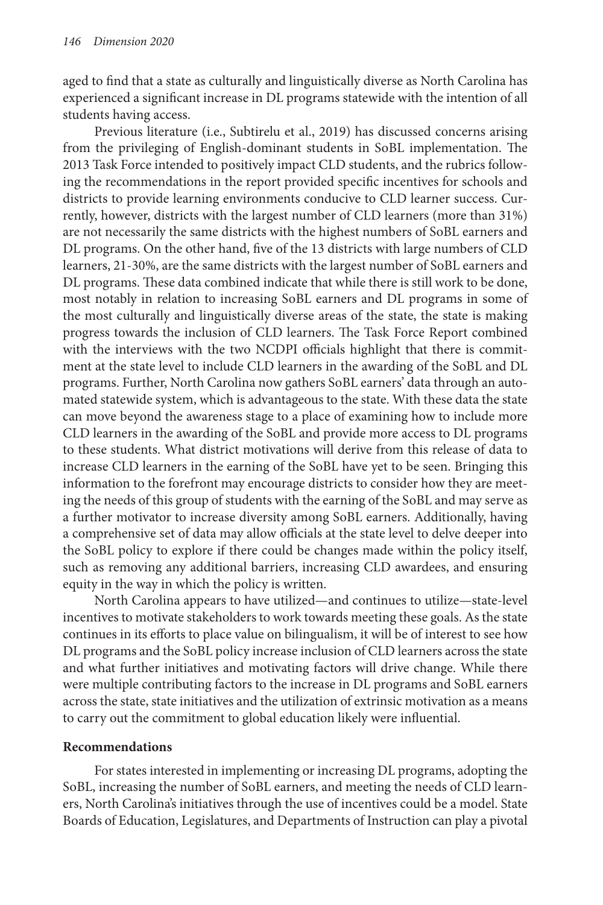aged to find that a state as culturally and linguistically diverse as North Carolina has experienced a significant increase in DL programs statewide with the intention of all students having access.

Previous literature (i.e., Subtirelu et al., 2019) has discussed concerns arising from the privileging of English-dominant students in SoBL implementation. The 2013 Task Force intended to positively impact CLD students, and the rubrics following the recommendations in the report provided specific incentives for schools and districts to provide learning environments conducive to CLD learner success. Currently, however, districts with the largest number of CLD learners (more than 31%) are not necessarily the same districts with the highest numbers of SoBL earners and DL programs. On the other hand, five of the 13 districts with large numbers of CLD learners, 21-30%, are the same districts with the largest number of SoBL earners and DL programs. These data combined indicate that while there is still work to be done, most notably in relation to increasing SoBL earners and DL programs in some of the most culturally and linguistically diverse areas of the state, the state is making progress towards the inclusion of CLD learners. The Task Force Report combined with the interviews with the two NCDPI officials highlight that there is commitment at the state level to include CLD learners in the awarding of the SoBL and DL programs. Further, North Carolina now gathers SoBL earners' data through an automated statewide system, which is advantageous to the state. With these data the state can move beyond the awareness stage to a place of examining how to include more CLD learners in the awarding of the SoBL and provide more access to DL programs to these students. What district motivations will derive from this release of data to increase CLD learners in the earning of the SoBL have yet to be seen. Bringing this information to the forefront may encourage districts to consider how they are meeting the needs of this group of students with the earning of the SoBL and may serve as a further motivator to increase diversity among SoBL earners. Additionally, having a comprehensive set of data may allow officials at the state level to delve deeper into the SoBL policy to explore if there could be changes made within the policy itself, such as removing any additional barriers, increasing CLD awardees, and ensuring equity in the way in which the policy is written.

North Carolina appears to have utilized—and continues to utilize—state-level incentives to motivate stakeholders to work towards meeting these goals. As the state continues in its efforts to place value on bilingualism, it will be of interest to see how DL programs and the SoBL policy increase inclusion of CLD learners across the state and what further initiatives and motivating factors will drive change. While there were multiple contributing factors to the increase in DL programs and SoBL earners across the state, state initiatives and the utilization of extrinsic motivation as a means to carry out the commitment to global education likely were influential.

# **Recommendations**

For states interested in implementing or increasing DL programs, adopting the SoBL, increasing the number of SoBL earners, and meeting the needs of CLD learners, North Carolina's initiatives through the use of incentives could be a model. State Boards of Education, Legislatures, and Departments of Instruction can play a pivotal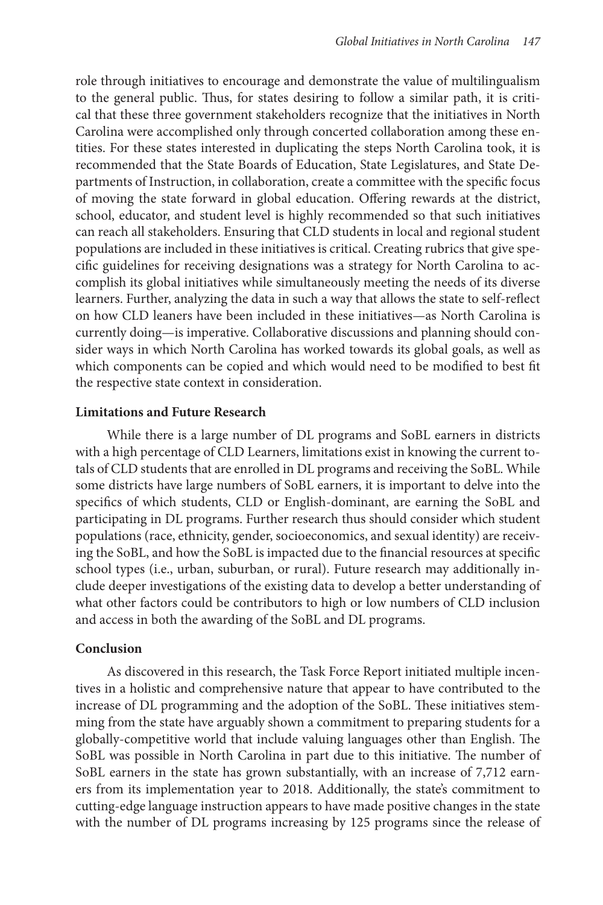role through initiatives to encourage and demonstrate the value of multilingualism to the general public. Thus, for states desiring to follow a similar path, it is critical that these three government stakeholders recognize that the initiatives in North Carolina were accomplished only through concerted collaboration among these entities. For these states interested in duplicating the steps North Carolina took, it is recommended that the State Boards of Education, State Legislatures, and State Departments of Instruction, in collaboration, create a committee with the specific focus of moving the state forward in global education. Offering rewards at the district, school, educator, and student level is highly recommended so that such initiatives can reach all stakeholders. Ensuring that CLD students in local and regional student populations are included in these initiatives is critical. Creating rubrics that give specific guidelines for receiving designations was a strategy for North Carolina to accomplish its global initiatives while simultaneously meeting the needs of its diverse learners. Further, analyzing the data in such a way that allows the state to self-reflect on how CLD leaners have been included in these initiatives—as North Carolina is currently doing—is imperative. Collaborative discussions and planning should consider ways in which North Carolina has worked towards its global goals, as well as which components can be copied and which would need to be modified to best fit the respective state context in consideration.

## **Limitations and Future Research**

While there is a large number of DL programs and SoBL earners in districts with a high percentage of CLD Learners, limitations exist in knowing the current totals of CLD students that are enrolled in DL programs and receiving the SoBL. While some districts have large numbers of SoBL earners, it is important to delve into the specifics of which students, CLD or English-dominant, are earning the SoBL and participating in DL programs. Further research thus should consider which student populations (race, ethnicity, gender, socioeconomics, and sexual identity) are receiving the SoBL, and how the SoBL is impacted due to the financial resources at specific school types (i.e., urban, suburban, or rural). Future research may additionally include deeper investigations of the existing data to develop a better understanding of what other factors could be contributors to high or low numbers of CLD inclusion and access in both the awarding of the SoBL and DL programs.

## **Conclusion**

As discovered in this research, the Task Force Report initiated multiple incentives in a holistic and comprehensive nature that appear to have contributed to the increase of DL programming and the adoption of the SoBL. These initiatives stemming from the state have arguably shown a commitment to preparing students for a globally-competitive world that include valuing languages other than English. The SoBL was possible in North Carolina in part due to this initiative. The number of SoBL earners in the state has grown substantially, with an increase of 7,712 earners from its implementation year to 2018. Additionally, the state's commitment to cutting-edge language instruction appears to have made positive changes in the state with the number of DL programs increasing by 125 programs since the release of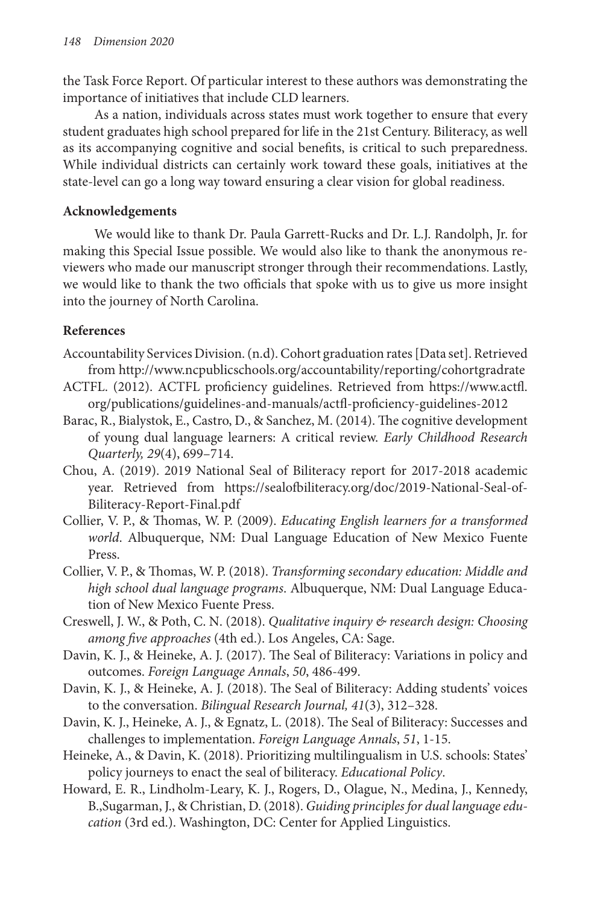the Task Force Report. Of particular interest to these authors was demonstrating the importance of initiatives that include CLD learners.

As a nation, individuals across states must work together to ensure that every student graduates high school prepared for life in the 21st Century. Biliteracy, as well as its accompanying cognitive and social benefits, is critical to such preparedness. While individual districts can certainly work toward these goals, initiatives at the state-level can go a long way toward ensuring a clear vision for global readiness.

# **Acknowledgements**

We would like to thank Dr. Paula Garrett-Rucks and Dr. L.J. Randolph, Jr. for making this Special Issue possible. We would also like to thank the anonymous reviewers who made our manuscript stronger through their recommendations. Lastly, we would like to thank the two officials that spoke with us to give us more insight into the journey of North Carolina.

# **References**

- Accountability Services Division. (n.d). Cohort graduation rates [Data set]. Retrieved from http://www.ncpublicschools.org/accountability/reporting/cohortgradrate
- ACTFL. (2012). ACTFL proficiency guidelines. Retrieved from https://www.actfl. org/publications/guidelines-and-manuals/actfl-proficiency-guidelines-2012
- Barac, R., Bialystok, E., Castro, D., & Sanchez, M. (2014). The cognitive development of young dual language learners: A critical review. *Early Childhood Research Quarterly, 29*(4), 699–714.
- Chou, A. (2019). 2019 National Seal of Biliteracy report for 2017-2018 academic year. Retrieved from https://sealofbiliteracy.org/doc/2019-National-Seal-of-Biliteracy-Report-Final.pdf
- Collier, V. P., & Thomas, W. P. (2009). *Educating English learners for a transformed world*. Albuquerque, NM: Dual Language Education of New Mexico Fuente Press.
- Collier, V. P., & Thomas, W. P. (2018). *Transforming secondary education: Middle and high school dual language programs*. Albuquerque, NM: Dual Language Education of New Mexico Fuente Press.
- Creswell, J. W., & Poth, C. N. (2018). *Qualitative inquiry & research design: Choosing among five approaches* (4th ed.). Los Angeles, CA: Sage.
- Davin, K. J., & Heineke, A. J. (2017). The Seal of Biliteracy: Variations in policy and outcomes. *Foreign Language Annals*, *50*, 486-499.
- Davin, K. J., & Heineke, A. J. (2018). The Seal of Biliteracy: Adding students' voices to the conversation. *Bilingual Research Journal, 41*(3), 312–328.
- Davin, K. J., Heineke, A. J., & Egnatz, L. (2018). The Seal of Biliteracy: Successes and challenges to implementation. *Foreign Language Annals*, *51*, 1-15.
- Heineke, A., & Davin, K. (2018). Prioritizing multilingualism in U.S. schools: States' policy journeys to enact the seal of biliteracy. *Educational Policy*.
- Howard, E. R., Lindholm-Leary, K. J., Rogers, D., Olague, N., Medina, J., Kennedy, B.,Sugarman, J., & Christian, D. (2018). *Guiding principles for dual language education* (3rd ed.). Washington, DC: Center for Applied Linguistics.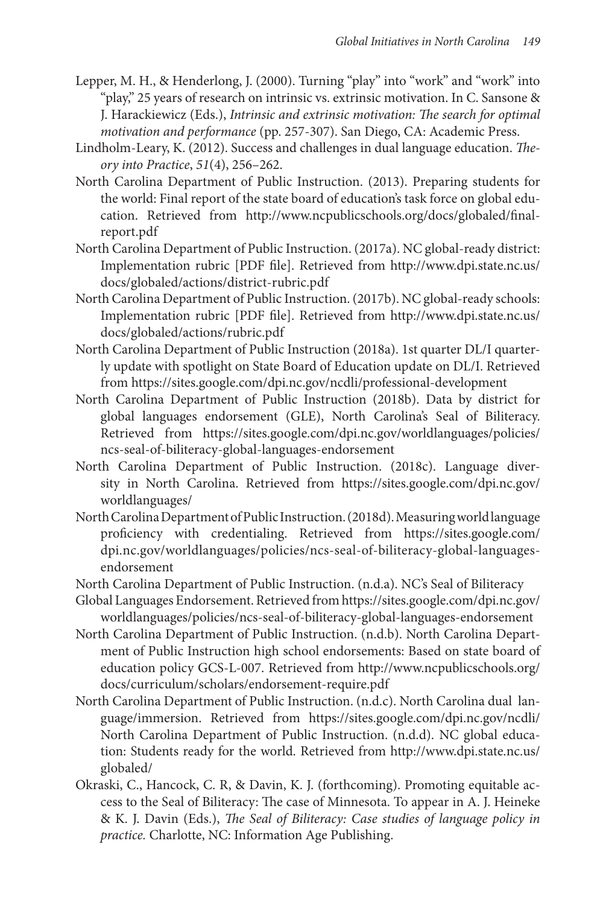- Lepper, M. H., & Henderlong, J. (2000). Turning "play" into "work" and "work" into "play," 25 years of research on intrinsic vs. extrinsic motivation. In C. Sansone & J. Harackiewicz (Eds.), *Intrinsic and extrinsic motivation: The search for optimal motivation and performance* (pp. 257-307). San Diego, CA: Academic Press.
- Lindholm-Leary, K. (2012). Success and challenges in dual language education. *Theory into Practice*, *51*(4), 256–262.
- North Carolina Department of Public Instruction. (2013). Preparing students for the world: Final report of the state board of education's task force on global education. Retrieved from http://www.ncpublicschools.org/docs/globaled/finalreport.pdf
- North Carolina Department of Public Instruction. (2017a). NC global-ready district: Implementation rubric [PDF file]. Retrieved from http://www.dpi.state.nc.us/ docs/globaled/actions/district-rubric.pdf
- North Carolina Department of Public Instruction. (2017b). NC global-ready schools: Implementation rubric [PDF file]. Retrieved from http://www.dpi.state.nc.us/ docs/globaled/actions/rubric.pdf
- North Carolina Department of Public Instruction (2018a). 1st quarter DL/I quarterly update with spotlight on State Board of Education update on DL/I. Retrieved from https://sites.google.com/dpi.nc.gov/ncdli/professional-development
- North Carolina Department of Public Instruction (2018b). Data by district for global languages endorsement (GLE), North Carolina's Seal of Biliteracy. Retrieved from https://sites.google.com/dpi.nc.gov/worldlanguages/policies/ ncs-seal-of-biliteracy-global-languages-endorsement
- North Carolina Department of Public Instruction. (2018c). Language diversity in North Carolina. Retrieved from https://sites.google.com/dpi.nc.gov/ worldlanguages/
- North Carolina Department of Public Instruction. (2018d). Measuring world language proficiency with credentialing. Retrieved from https://sites.google.com/ dpi.nc.gov/worldlanguages/policies/ncs-seal-of-biliteracy-global-languagesendorsement
- North Carolina Department of Public Instruction. (n.d.a). NC's Seal of Biliteracy
- Global Languages Endorsement. Retrieved from https://sites.google.com/dpi.nc.gov/ worldlanguages/policies/ncs-seal-of-biliteracy-global-languages-endorsement
- North Carolina Department of Public Instruction. (n.d.b). North Carolina Department of Public Instruction high school endorsements: Based on state board of education policy GCS-L-007. Retrieved from http://www.ncpublicschools.org/ docs/curriculum/scholars/endorsement-require.pdf
- North Carolina Department of Public Instruction. (n.d.c). North Carolina dual language/immersion. Retrieved from https://sites.google.com/dpi.nc.gov/ncdli/ North Carolina Department of Public Instruction. (n.d.d). NC global education: Students ready for the world. Retrieved from http://www.dpi.state.nc.us/ globaled/
- Okraski, C., Hancock, C. R, & Davin, K. J. (forthcoming). Promoting equitable access to the Seal of Biliteracy: The case of Minnesota. To appear in A. J. Heineke & K. J. Davin (Eds.), *The Seal of Biliteracy: Case studies of language policy in practice.* Charlotte, NC: Information Age Publishing.